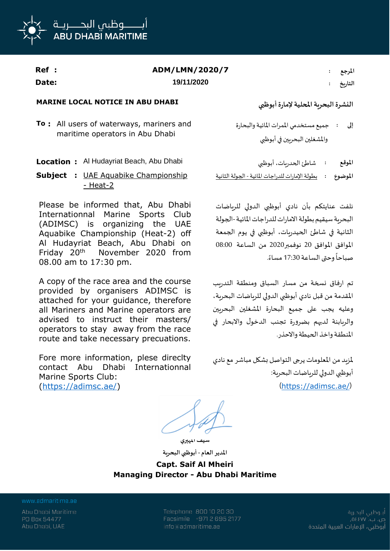

| Ref : | ADM/LMN/2020/7 | المرجع  |
|-------|----------------|---------|
| Date: | 19/11/2020     | التاريخ |

## **MARINE LOCAL NOTICE IN ABU DHABI أبوظبي إلمارة املحلية البحرية النشرة**

**To :** All users of waterways, mariners and maritime operators in Abu Dhabi

- 
- **Subject :** UAE Aquabike Championship - Heat-2

Please be informed that, Abu Dhabi Internationnal Marine Sports Club (ADIMSC) is organizing the UAE Aquabike Championship (Heat-2) off Al Hudayriat Beach, Abu Dhabi on Friday 20th November 2020 from 08.00 am to 17:30 pm.

A copy of the race area and the course provided by organisers ADIMSC is attached for your guidance, therefore all Mariners and Marine operators are advised to instruct their masters/ operators to stay away from the race route and take necessary precuations.

Fore more information, plese direclty contact Abu Dhabi Internationnal Marine Sports Club: (https://adimsc.ae/)

جميع مستخدمي املمرات املائية والبحارة واملشغلين البحريين في أبوظبي **إلى :**

**Location :** Al Hudayriat Beach, Abu Dhabi أبوظبي ،الحدريات شاطئ **: املوقع املوضوع :** بطولة اإلمارات للدراجات املائية - الجولة الثانية

> نلفت عنايتكم بأن نادي أبوظبي الدولي للرياضات البحرية سيقيم بطولة الامارات للدراجات المائية-الجولة الثانية في شاطئ الحيدريات، أبوظبي في يوم الجمعة املوافق املوافق 20 نوفمبر2020 من الساعة 08:00 صباحاً وحتى الساعة 17:30 مساءً. ا<br>آ ً

تم ارفاق نسخة من مسار السباق ومنطقة التدريب املقدمة من قبل نادي أبوظبي الدولي للرياضات البحرية، وعليه يجب على جميع البحارة املشغلين البحريين والربابنة لديهم بضرورة تجنب الدخول واالبحار في املنطقة واخذ الحيطة واالحذر.

ملزيد من املعلومات يرجى التواصل بشكل مباشر مع نادي أبوظبي الدولي للرياضات البحرية: (https://adimsc.ae/)

**سيف املهيري**

**املدير العام - أبوظبي البحرية Capt. Saif Al Mheiri Managing Director - Abu Dhabi Maritime**

www.admaritime.ae

Abu Dhabi Maritime PO Box 54477 Abu Dhabi, UAE

Telephone 800 10 20 30 Facsimile +971 2 695 2177 info@admaritime.ae

أبــوظبي البحــرية ص. ب. ٧٧] ٥٤ أبوظبي، الإمارات العربية المتحدة